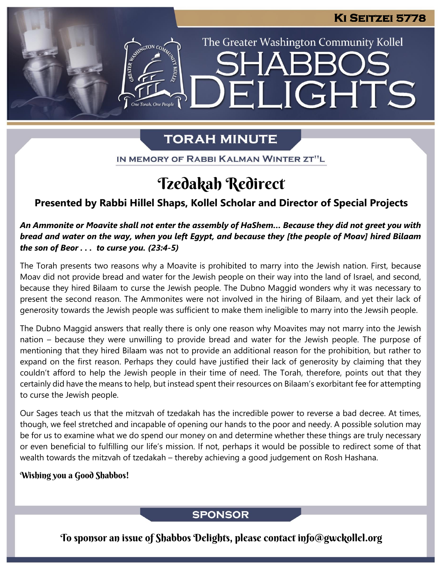The Greater Washington Community Kollel

ELIGHTS

## **TORAH MINUTE**

IN MEMORY OF RABBI KALMAN WINTER ZT"L

# Tzedakah Redirect

## **Presented by Rabbi Hillel Shaps, Kollel Scholar and Director of Special Projects**

### An Ammonite or Moavite shall not enter the assembly of HaShem... Because they did not greet you with bread and water on the way, when you left Egypt, and because they [the people of Moav] hired Bilaam *the son of Beor . . . to curse you. (23:4-5)*

The Torah presents two reasons why a Moavite is prohibited to marry into the Jewish nation. First, because Moav did not provide bread and water for the Jewish people on their way into the land of Israel, and second, because they hired Bilaam to curse the Jewish people. The Dubno Maggid wonders why it was necessary to present the second reason. The Ammonites were not involved in the hiring of Bilaam, and yet their lack of generosity towards the Jewish people was sufficient to make them ineligible to marry into the Jewsih people.

The Dubno Maggid answers that really there is only one reason why Moavites may not marry into the Jewish nation – because they were unwilling to provide bread and water for the Jewish people. The purpose of mentioning that they hired Bilaam was not to provide an additional reason for the prohibition, but rather to expand on the first reason. Perhaps they could have justified their lack of generosity by claiming that they couldn't afford to help the Jewish people in their time of need. The Torah, therefore, points out that they certainly did have the means to help, but instead spent their resources on Bilaam's exorbitant fee for attempting to curse the Jewish people.

Our Sages teach us that the mitzvah of tzedakah has the incredible power to reverse a bad decree. At times, though, we feel stretched and incapable of opening our hands to the poor and needy. A possible solution may be for us to examine what we do spend our money on and determine whether these things are truly necessary or even beneficial to fulfilling our life's mission. If not, perhaps it would be possible to redirect some of that wealth towards the mitzvah of tzedakah – thereby achieving a good judgement on Rosh Hashana.

#### Wishing you a Good Shabbos!

### **SPONSOR**

To sponsor an issue of Shabbos Delights, please contact info@gwckollel.org